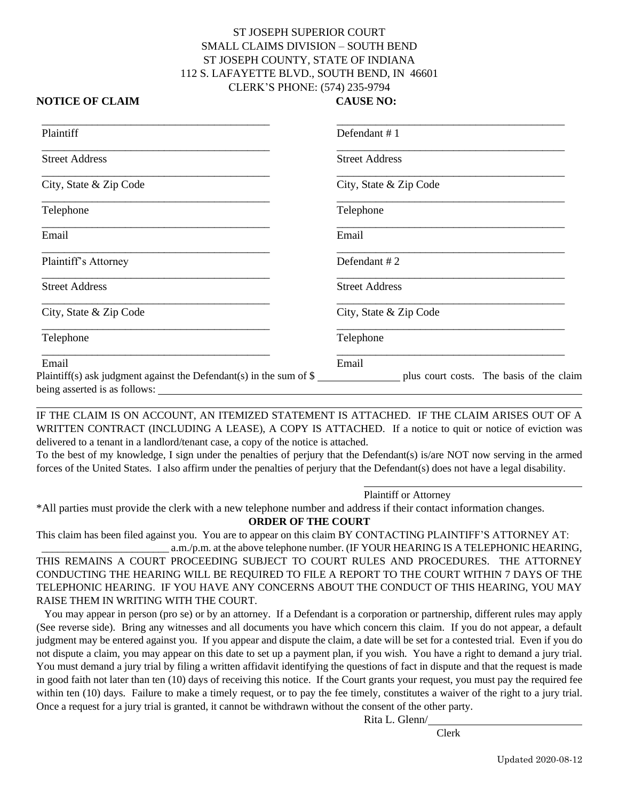## ST JOSEPH SUPERIOR COURT SMALL CLAIMS DIVISION – SOUTH BEND ST JOSEPH COUNTY, STATE OF INDIANA 112 S. LAFAYETTE BLVD., SOUTH BEND, IN 46601 CLERK'S PHONE: (574) 235-9794

#### **NOTICE OF CLAIM CAUSE NO:**

| Plaintiff                                                                    | Defendant #1                                      |
|------------------------------------------------------------------------------|---------------------------------------------------|
| <b>Street Address</b>                                                        | <b>Street Address</b>                             |
| City, State & Zip Code                                                       | City, State & Zip Code                            |
| Telephone                                                                    | Telephone                                         |
| Email                                                                        | Email                                             |
| Plaintiff's Attorney                                                         | Defendant $#2$                                    |
| <b>Street Address</b>                                                        | <b>Street Address</b>                             |
| City, State & Zip Code                                                       | City, State & Zip Code                            |
| Telephone                                                                    | Telephone                                         |
| Email<br>Plaintiff(s) ask judgment against the Defendant(s) in the sum of \$ | Email<br>plus court costs. The basis of the claim |

IF THE CLAIM IS ON ACCOUNT, AN ITEMIZED STATEMENT IS ATTACHED. IF THE CLAIM ARISES OUT OF A WRITTEN CONTRACT (INCLUDING A LEASE), A COPY IS ATTACHED. If a notice to quit or notice of eviction was delivered to a tenant in a landlord/tenant case, a copy of the notice is attached.

To the best of my knowledge, I sign under the penalties of perjury that the Defendant(s) is/are NOT now serving in the armed forces of the United States. I also affirm under the penalties of perjury that the Defendant(s) does not have a legal disability.

Plaintiff or Attorney

\*All parties must provide the clerk with a new telephone number and address if their contact information changes.

**ORDER OF THE COURT**

This claim has been filed against you. You are to appear on this claim BY CONTACTING PLAINTIFF'S ATTORNEY AT: a.m./p.m. at the above telephone number. (IF YOUR HEARING IS A TELEPHONIC HEARING,

THIS REMAINS A COURT PROCEEDING SUBJECT TO COURT RULES AND PROCEDURES. THE ATTORNEY CONDUCTING THE HEARING WILL BE REQUIRED TO FILE A REPORT TO THE COURT WITHIN 7 DAYS OF THE TELEPHONIC HEARING. IF YOU HAVE ANY CONCERNS ABOUT THE CONDUCT OF THIS HEARING, YOU MAY RAISE THEM IN WRITING WITH THE COURT.

 You may appear in person (pro se) or by an attorney. If a Defendant is a corporation or partnership, different rules may apply (See reverse side). Bring any witnesses and all documents you have which concern this claim. If you do not appear, a default judgment may be entered against you. If you appear and dispute the claim, a date will be set for a contested trial. Even if you do not dispute a claim, you may appear on this date to set up a payment plan, if you wish. You have a right to demand a jury trial. You must demand a jury trial by filing a written affidavit identifying the questions of fact in dispute and that the request is made in good faith not later than ten (10) days of receiving this notice. If the Court grants your request, you must pay the required fee within ten (10) days. Failure to make a timely request, or to pay the fee timely, constitutes a waiver of the right to a jury trial. Once a request for a jury trial is granted, it cannot be withdrawn without the consent of the other party.

Rita L. Glenn/

Clerk